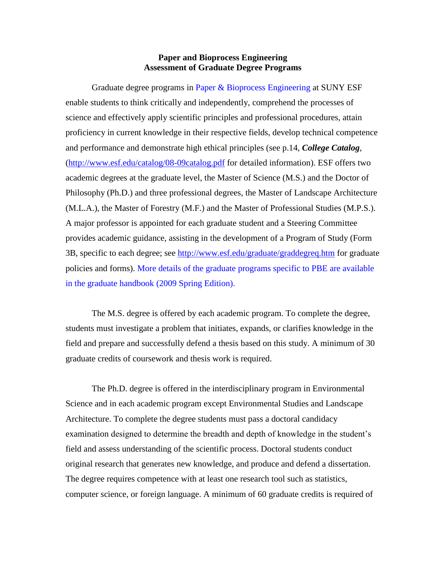## **Paper and Bioprocess Engineering Assessment of Graduate Degree Programs**

Graduate degree programs in Paper & Bioprocess Engineering at SUNY ESF enable students to think critically and independently, comprehend the processes of science and effectively apply scientific principles and professional procedures, attain proficiency in current knowledge in their respective fields, develop technical competence and performance and demonstrate high ethical principles (see p.14, *College Catalog*, [\(http://www.esf.edu/catalog/08-09catalog.pdf](http://www.esf.edu/catalog/08-09catalog.pdf) for detailed information). ESF offers two academic degrees at the graduate level, the Master of Science (M.S.) and the Doctor of Philosophy (Ph.D.) and three professional degrees, the Master of Landscape Architecture (M.L.A.), the Master of Forestry (M.F.) and the Master of Professional Studies (M.P.S.). A major professor is appointed for each graduate student and a Steering Committee provides academic guidance, assisting in the development of a Program of Study (Form 3B, specific to each degree; see<http://www.esf.edu/graduate/graddegreq.htm> for graduate policies and forms). More details of the graduate programs specific to PBE are available in the graduate handbook (2009 Spring Edition).

The M.S. degree is offered by each academic program. To complete the degree, students must investigate a problem that initiates, expands, or clarifies knowledge in the field and prepare and successfully defend a thesis based on this study. A minimum of 30 graduate credits of coursework and thesis work is required.

The Ph.D. degree is offered in the interdisciplinary program in Environmental Science and in each academic program except Environmental Studies and Landscape Architecture. To complete the degree students must pass a doctoral candidacy examination designed to determine the breadth and depth of knowledge in the student's field and assess understanding of the scientific process. Doctoral students conduct original research that generates new knowledge, and produce and defend a dissertation. The degree requires competence with at least one research tool such as statistics, computer science, or foreign language. A minimum of 60 graduate credits is required of